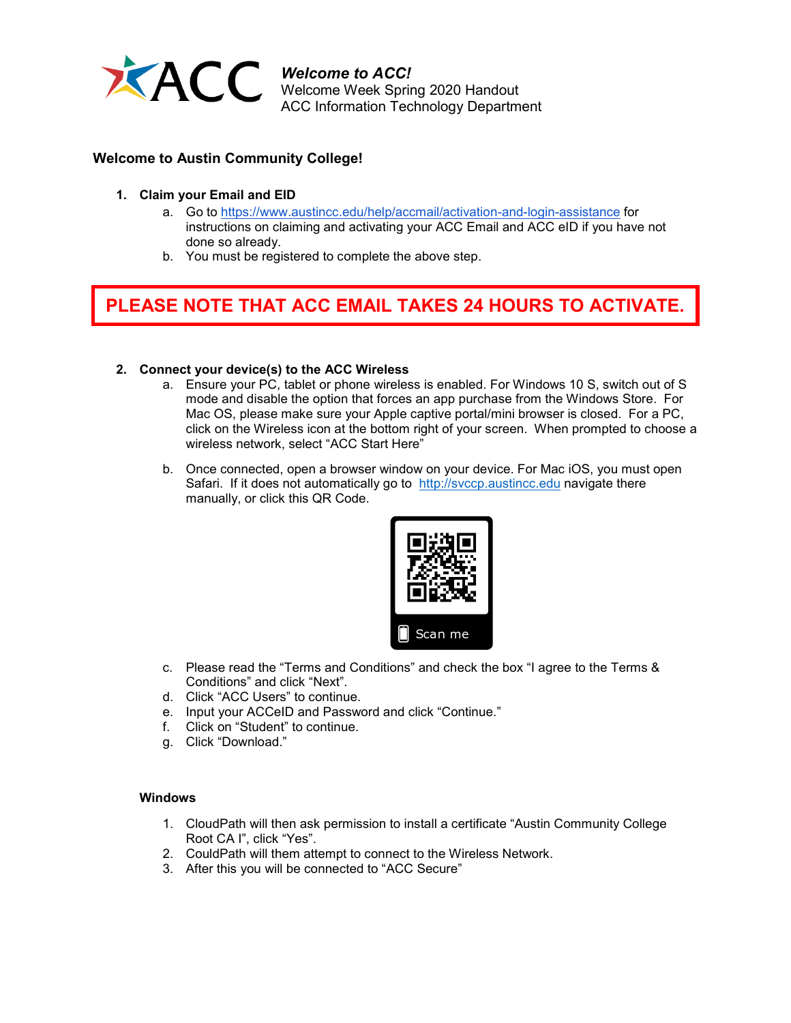

*Welcome to ACC!* Welcome Week Spring 2020 Handout ACC Information Technology Department

### **Welcome to Austin Community College!**

- **1. Claim your Email and EID**
	- a. Go to<https://www.austincc.edu/help/accmail/activation-and-login-assistance> for instructions on claiming and activating your ACC Email and ACC eID if you have not done so already.
	- b. You must be registered to complete the above step.

# **PLEASE NOTE THAT ACC EMAIL TAKES 24 HOURS TO ACTIVATE.**

#### **2. Connect your device(s) to the ACC Wireless**

- a. Ensure your PC, tablet or phone wireless is enabled. For Windows 10 S, switch out of S mode and disable the option that forces an app purchase from the Windows Store. For Mac OS, please make sure your Apple captive portal/mini browser is closed. For a PC, click on the Wireless icon at the bottom right of your screen. When prompted to choose a wireless network, select "ACC Start Here"
- b. Once connected, open a browser window on your device. For Mac iOS, you must open Safari. If it does not automatically go to [http://svccp.austincc.edu](http://svccp.austincc.edu/) navigate there manually, or click this QR Code.



- c. Please read the "Terms and Conditions" and check the box "I agree to the Terms & Conditions" and click "Next".
- d. Click "ACC Users" to continue.
- e. Input your ACCeID and Password and click "Continue."
- f. Click on "Student" to continue.
- g. Click "Download."

#### **Windows**

- 1. CloudPath will then ask permission to install a certificate "Austin Community College Root CA I", click "Yes".
- 2. CouldPath will them attempt to connect to the Wireless Network.
- 3. After this you will be connected to "ACC Secure"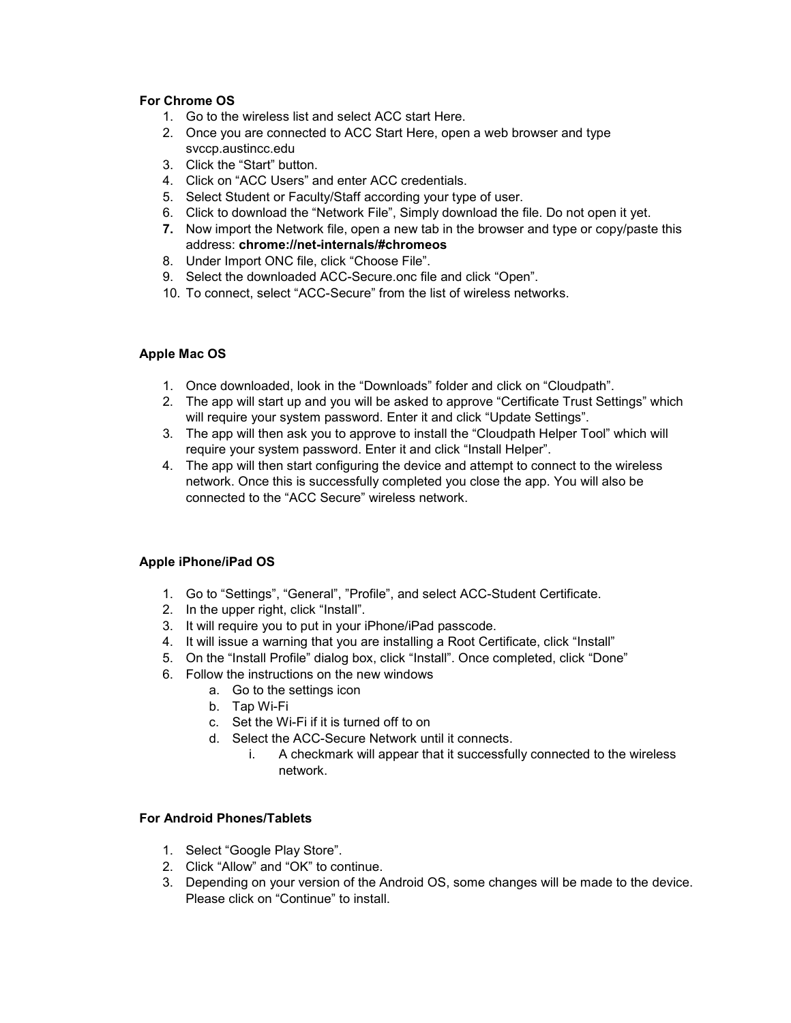### **For Chrome OS**

- 1. Go to the wireless list and select ACC start Here.
- 2. Once you are connected to ACC Start Here, open a web browser and type svccp.austincc.edu
- 3. Click the "Start" button.
- 4. Click on "ACC Users" and enter ACC credentials.
- 5. Select Student or Faculty/Staff according your type of user.
- 6. Click to download the "Network File", Simply download the file. Do not open it yet.
- **7.** Now import the Network file, open a new tab in the browser and type or copy/paste this address: **chrome://net-internals/#chromeos**
- 8. Under Import ONC file, click "Choose File".
- 9. Select the downloaded ACC-Secure.onc file and click "Open".
- 10. To connect, select "ACC-Secure" from the list of wireless networks.

## **Apple Mac OS**

- 1. Once downloaded, look in the "Downloads" folder and click on "Cloudpath".
- 2. The app will start up and you will be asked to approve "Certificate Trust Settings" which will require your system password. Enter it and click "Update Settings".
- 3. The app will then ask you to approve to install the "Cloudpath Helper Tool" which will require your system password. Enter it and click "Install Helper".
- 4. The app will then start configuring the device and attempt to connect to the wireless network. Once this is successfully completed you close the app. You will also be connected to the "ACC Secure" wireless network.

# **Apple iPhone/iPad OS**

- 1. Go to "Settings", "General", "Profile", and select ACC-Student Certificate.
- 2. In the upper right, click "Install".
- 3. It will require you to put in your iPhone/iPad passcode.
- 4. It will issue a warning that you are installing a Root Certificate, click "Install"
- 5. On the "Install Profile" dialog box, click "Install". Once completed, click "Done"
- 6. Follow the instructions on the new windows
	- a. Go to the settings icon
	- b. Tap Wi-Fi
	- c. Set the Wi-Fi if it is turned off to on
	- d. Select the ACC-Secure Network until it connects.
		- i. A checkmark will appear that it successfully connected to the wireless network.

### **For Android Phones/Tablets**

- 1. Select "Google Play Store".
- 2. Click "Allow" and "OK" to continue.
- 3. Depending on your version of the Android OS, some changes will be made to the device. Please click on "Continue" to install.